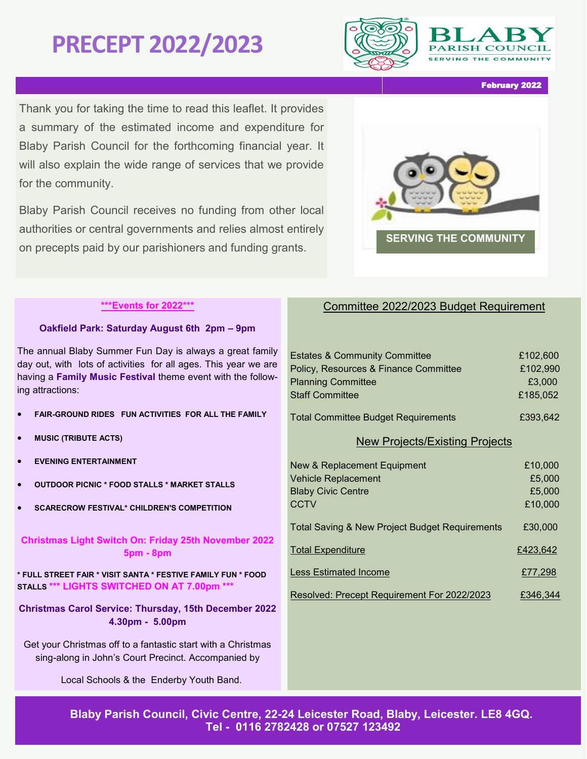# **PRECEPT 2022/2023**



February 2022

Thank you for taking the time to read this leaflet. It provides a summary of the estimated income and expenditure for Blaby Parish Council for the forthcoming financial year. It will also explain the wide range of services that we provide for the community.

Blaby Parish Council receives no funding from other local authorities or central governments and relies almost entirely on precepts paid by our parishioners and funding grants.



#### **\*\*\*Events for 2022\*\*\***

#### **Oakfield Park: Saturday August 6th 2pm – 9pm**

The annual Blaby Summer Fun Day is always a great family day out, with lots of activities for all ages. This year we are having a **Family Music Festival** theme event with the following attractions:

- **FAIR-GROUND RIDES FUN ACTIVITIES FOR ALL THE FAMILY**
- **MUSIC (TRIBUTE ACTS)**
- **EVENING ENTERTAINMENT**
- **OUTDOOR PICNIC \* FOOD STALLS \* MARKET STALLS**
- **SCARECROW FESTIVAL\* CHILDREN'S COMPETITION**

**Christmas Light Switch On: Friday 25th November 2022 5pm - 8pm** 

**\* FULL STREET FAIR \* VISIT SANTA \* FESTIVE FAMILY FUN \* FOOD STALLS \*\*\* LIGHTS SWITCHED ON AT 7.00pm \*\*\***

**Christmas Carol Service: Thursday, 15th December 2022 4.30pm - 5.00pm** 

Get your Christmas off to a fantastic start with a Christmas sing-along in John's Court Precinct. Accompanied by

Local Schools & the Enderby Youth Band.

### Committee 2022/2023 Budget Requirement

| <b>Estates &amp; Community Committee</b><br>Policy, Resources & Finance Committee<br><b>Planning Committee</b><br><b>Staff Committee</b> | £102,600<br>£102,990<br>£3,000<br>£185,052 |  |  |
|------------------------------------------------------------------------------------------------------------------------------------------|--------------------------------------------|--|--|
| <b>Total Committee Budget Requirements</b>                                                                                               | £393,642                                   |  |  |
| <b>New Projects/Existing Projects</b>                                                                                                    |                                            |  |  |
| New & Replacement Equipment<br><b>Vehicle Replacement</b><br><b>Blaby Civic Centre</b><br>CCTV                                           | £10,000<br>£5,000<br>£5,000<br>£10,000     |  |  |
| <b>Total Saving &amp; New Project Budget Requirements</b>                                                                                | £30,000                                    |  |  |
| <b>Total Expenditure</b>                                                                                                                 | £423,642                                   |  |  |
| <b>Less Estimated Income</b>                                                                                                             | £77,298                                    |  |  |
| Resolved: Precept Requirement For 2022/2023                                                                                              | £346,344                                   |  |  |

**Blaby Parish Council, Civic Centre, 22-24 Leicester Road, Blaby, Leicester. LE8 4GQ. Tel - 0116 2782428 or 07527 123492**